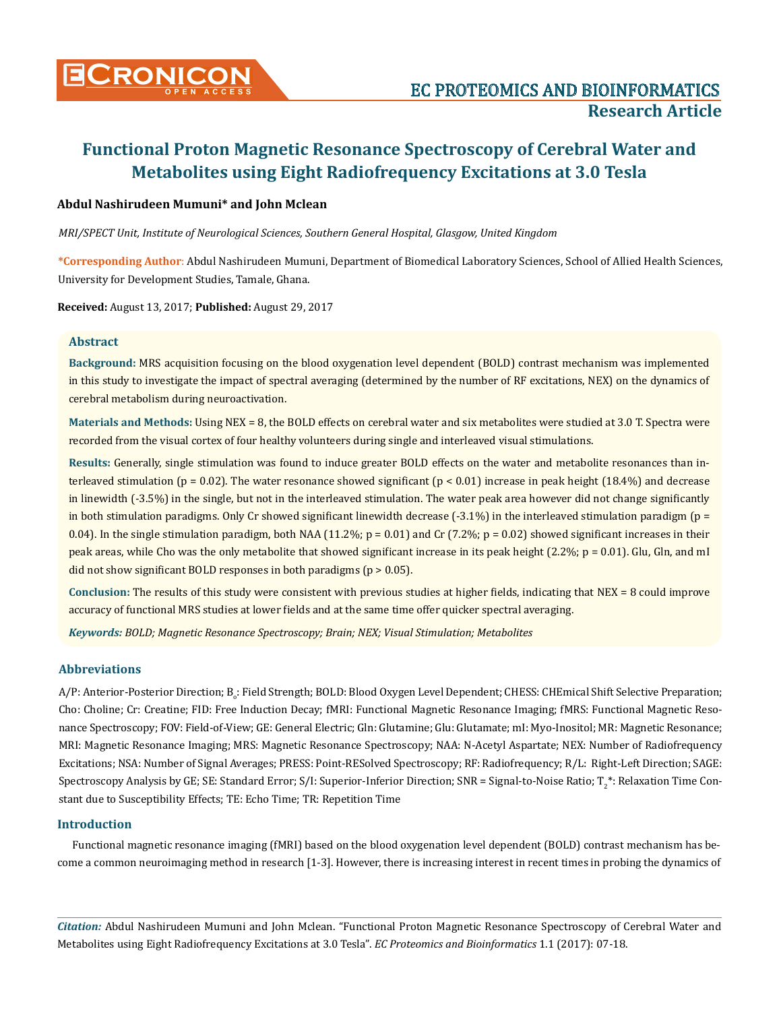

## **Abdul Nashirudeen Mumuni\* and John Mclean**

*MRI/SPECT Unit, Institute of Neurological Sciences, Southern General Hospital, Glasgow, United Kingdom* 

**\*Corresponding Author**: Abdul Nashirudeen Mumuni, Department of Biomedical Laboratory Sciences, School of Allied Health Sciences, University for Development Studies, Tamale, Ghana.

**Received:** August 13, 2017; **Published:** August 29, 2017

### **Abstract**

**Background:** MRS acquisition focusing on the blood oxygenation level dependent (BOLD) contrast mechanism was implemented in this study to investigate the impact of spectral averaging (determined by the number of RF excitations, NEX) on the dynamics of cerebral metabolism during neuroactivation.

**Materials and Methods:** Using NEX = 8, the BOLD effects on cerebral water and six metabolites were studied at 3.0 T. Spectra were recorded from the visual cortex of four healthy volunteers during single and interleaved visual stimulations.

**Results:** Generally, single stimulation was found to induce greater BOLD effects on the water and metabolite resonances than interleaved stimulation ( $p = 0.02$ ). The water resonance showed significant ( $p < 0.01$ ) increase in peak height (18.4%) and decrease in linewidth (-3.5%) in the single, but not in the interleaved stimulation. The water peak area however did not change significantly in both stimulation paradigms. Only Cr showed significant linewidth decrease  $(-3.1\%)$  in the interleaved stimulation paradigm ( $p =$ 0.04). In the single stimulation paradigm, both NAA (11.2%;  $p = 0.01$ ) and Cr (7.2%;  $p = 0.02$ ) showed significant increases in their peak areas, while Cho was the only metabolite that showed significant increase in its peak height  $(2.2\%; p = 0.01)$ . Glu, Gln, and mI did not show significant BOLD responses in both paradigms (p > 0.05).

**Conclusion:** The results of this study were consistent with previous studies at higher fields, indicating that NEX = 8 could improve accuracy of functional MRS studies at lower fields and at the same time offer quicker spectral averaging.

*Keywords: BOLD; Magnetic Resonance Spectroscopy; Brain; NEX; Visual Stimulation; Metabolites*

## **Abbreviations**

A/P: Anterior-Posterior Direction; B<sub>o</sub>: Field Strength; BOLD: Blood Oxygen Level Dependent; CHESS: CHEmical Shift Selective Preparation; Cho: Choline; Cr: Creatine; FID: Free Induction Decay; fMRI: Functional Magnetic Resonance Imaging; fMRS: Functional Magnetic Resonance Spectroscopy; FOV: Field-of-View; GE: General Electric; Gln: Glutamine; Glu: Glutamate; mI: Myo-Inositol; MR: Magnetic Resonance; MRI: Magnetic Resonance Imaging; MRS: Magnetic Resonance Spectroscopy; NAA: N-Acetyl Aspartate; NEX: Number of Radiofrequency Excitations; NSA: Number of Signal Averages; PRESS: Point-RESolved Spectroscopy; RF: Radiofrequency; R/L: Right-Left Direction; SAGE: Spectroscopy Analysis by GE; SE: Standard Error; S/I: Superior-Inferior Direction; SNR = Signal-to-Noise Ratio; T2 \*: Relaxation Time Constant due to Susceptibility Effects; TE: Echo Time; TR: Repetition Time

## **Introduction**

Functional magnetic resonance imaging (fMRI) based on the blood oxygenation level dependent (BOLD) contrast mechanism has become a common neuroimaging method in research [1-3]. However, there is increasing interest in recent times in probing the dynamics of

*Citation:* Abdul Nashirudeen Mumuni and John Mclean. "Functional Proton Magnetic Resonance Spectroscopy of Cerebral Water and Metabolites using Eight Radiofrequency Excitations at 3.0 Tesla". *EC Proteomics and Bioinformatics* 1.1 (2017): 07-18.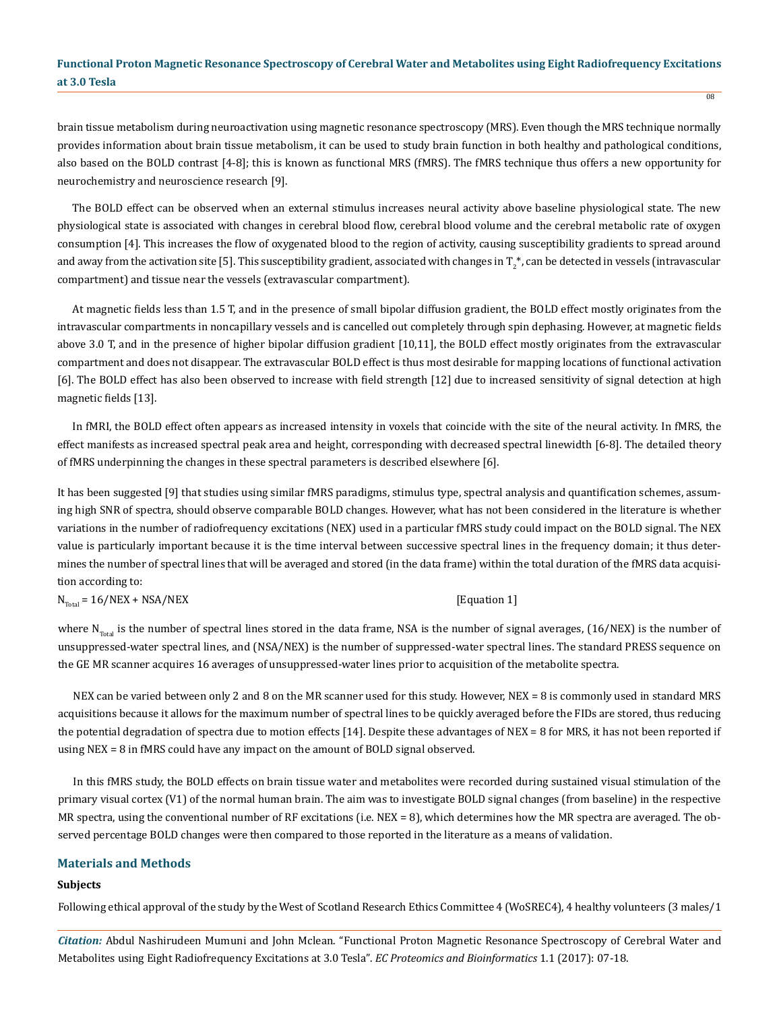brain tissue metabolism during neuroactivation using magnetic resonance spectroscopy (MRS). Even though the MRS technique normally provides information about brain tissue metabolism, it can be used to study brain function in both healthy and pathological conditions, also based on the BOLD contrast [4-8]; this is known as functional MRS (fMRS). The fMRS technique thus offers a new opportunity for neurochemistry and neuroscience research [9].

The BOLD effect can be observed when an external stimulus increases neural activity above baseline physiological state. The new physiological state is associated with changes in cerebral blood flow, cerebral blood volume and the cerebral metabolic rate of oxygen consumption [4]. This increases the flow of oxygenated blood to the region of activity, causing susceptibility gradients to spread around and away from the activation site [5]. This susceptibility gradient, associated with changes in T $_2^\ast$ , can be detected in vessels (intravascular compartment) and tissue near the vessels (extravascular compartment).

At magnetic fields less than 1.5 T, and in the presence of small bipolar diffusion gradient, the BOLD effect mostly originates from the intravascular compartments in noncapillary vessels and is cancelled out completely through spin dephasing. However, at magnetic fields above 3.0 T, and in the presence of higher bipolar diffusion gradient [10,11], the BOLD effect mostly originates from the extravascular compartment and does not disappear. The extravascular BOLD effect is thus most desirable for mapping locations of functional activation [6]. The BOLD effect has also been observed to increase with field strength [12] due to increased sensitivity of signal detection at high magnetic fields [13].

In fMRI, the BOLD effect often appears as increased intensity in voxels that coincide with the site of the neural activity. In fMRS, the effect manifests as increased spectral peak area and height, corresponding with decreased spectral linewidth [6-8]. The detailed theory of fMRS underpinning the changes in these spectral parameters is described elsewhere [6].

It has been suggested [9] that studies using similar fMRS paradigms, stimulus type, spectral analysis and quantification schemes, assuming high SNR of spectra, should observe comparable BOLD changes. However, what has not been considered in the literature is whether variations in the number of radiofrequency excitations (NEX) used in a particular fMRS study could impact on the BOLD signal. The NEX value is particularly important because it is the time interval between successive spectral lines in the frequency domain; it thus determines the number of spectral lines that will be averaged and stored (in the data frame) within the total duration of the fMRS data acquisition according to:

 $N_{\text{Total}} = 16/NEX + NSA/NEX$  [Equation 1]

where  $N_{\text{Total}}$  is the number of spectral lines stored in the data frame, NSA is the number of signal averages, (16/NEX) is the number of unsuppressed-water spectral lines, and (NSA/NEX) is the number of suppressed-water spectral lines. The standard PRESS sequence on the GE MR scanner acquires 16 averages of unsuppressed-water lines prior to acquisition of the metabolite spectra.

NEX can be varied between only 2 and 8 on the MR scanner used for this study. However, NEX = 8 is commonly used in standard MRS acquisitions because it allows for the maximum number of spectral lines to be quickly averaged before the FIDs are stored, thus reducing the potential degradation of spectra due to motion effects [14]. Despite these advantages of NEX = 8 for MRS, it has not been reported if using NEX = 8 in fMRS could have any impact on the amount of BOLD signal observed.

In this fMRS study, the BOLD effects on brain tissue water and metabolites were recorded during sustained visual stimulation of the primary visual cortex (V1) of the normal human brain. The aim was to investigate BOLD signal changes (from baseline) in the respective MR spectra, using the conventional number of RF excitations (i.e. NEX = 8), which determines how the MR spectra are averaged. The observed percentage BOLD changes were then compared to those reported in the literature as a means of validation.

## **Materials and Methods**

#### **Subjects**

Following ethical approval of the study by the West of Scotland Research Ethics Committee 4 (WoSREC4), 4 healthy volunteers (3 males/1

*Citation:* Abdul Nashirudeen Mumuni and John Mclean. "Functional Proton Magnetic Resonance Spectroscopy of Cerebral Water and Metabolites using Eight Radiofrequency Excitations at 3.0 Tesla". *EC Proteomics and Bioinformatics* 1.1 (2017): 07-18.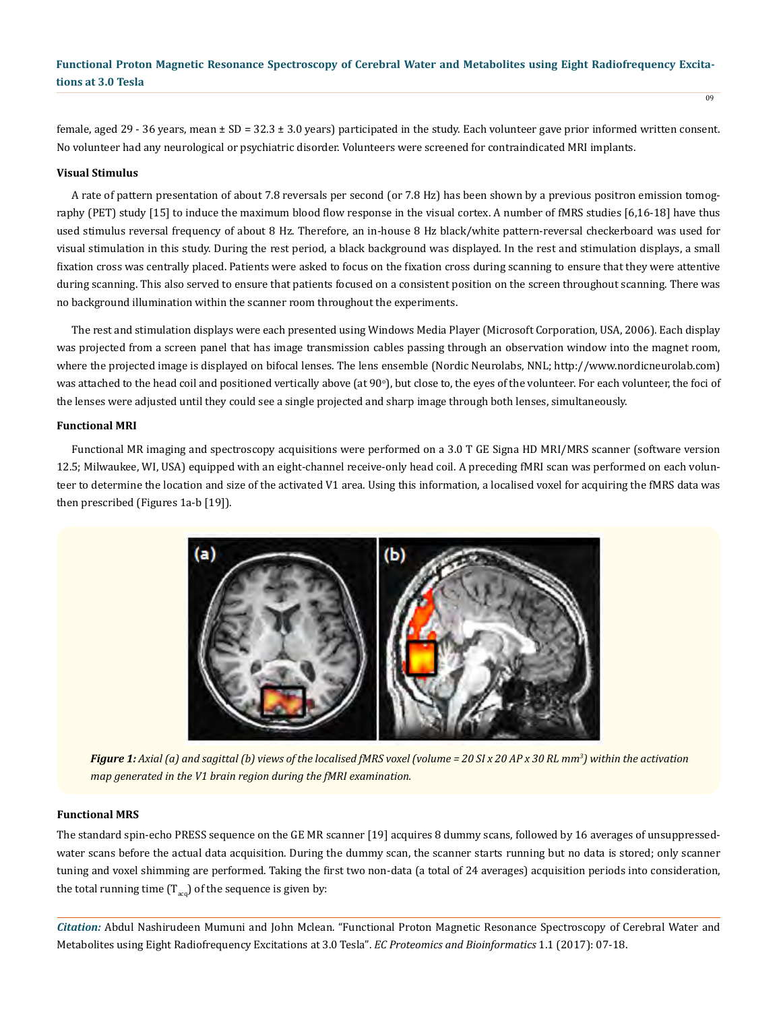female, aged 29 - 36 years, mean  $\pm$  SD = 32.3  $\pm$  3.0 years) participated in the study. Each volunteer gave prior informed written consent. No volunteer had any neurological or psychiatric disorder. Volunteers were screened for contraindicated MRI implants.

#### **Visual Stimulus**

A rate of pattern presentation of about 7.8 reversals per second (or 7.8 Hz) has been shown by a previous positron emission tomography (PET) study [15] to induce the maximum blood flow response in the visual cortex. A number of fMRS studies [6,16-18] have thus used stimulus reversal frequency of about 8 Hz. Therefore, an in-house 8 Hz black/white pattern-reversal checkerboard was used for visual stimulation in this study. During the rest period, a black background was displayed. In the rest and stimulation displays, a small fixation cross was centrally placed. Patients were asked to focus on the fixation cross during scanning to ensure that they were attentive during scanning. This also served to ensure that patients focused on a consistent position on the screen throughout scanning. There was no background illumination within the scanner room throughout the experiments.

The rest and stimulation displays were each presented using Windows Media Player (Microsoft Corporation, USA, 2006). Each display was projected from a screen panel that has image transmission cables passing through an observation window into the magnet room, where the projected image is displayed on bifocal lenses. The lens ensemble (Nordic Neurolabs, NNL; http://www.nordicneurolab.com) was attached to the head coil and positioned vertically above (at 90°), but close to, the eyes of the volunteer. For each volunteer, the foci of the lenses were adjusted until they could see a single projected and sharp image through both lenses, simultaneously.

#### **Functional MRI**

Functional MR imaging and spectroscopy acquisitions were performed on a 3.0 T GE Signa HD MRI/MRS scanner (software version 12.5; Milwaukee, WI, USA) equipped with an eight-channel receive-only head coil. A preceding fMRI scan was performed on each volunteer to determine the location and size of the activated V1 area. Using this information, a localised voxel for acquiring the fMRS data was then prescribed (Figures 1a-b [19]).



*Figure 1: Axial (a) and sagittal (b) views of the localised fMRS voxel (volume = 20 SI x 20 AP x 30 RL mm3 ) within the activation map generated in the V1 brain region during the fMRI examination.*

#### **Functional MRS**

The standard spin-echo PRESS sequence on the GE MR scanner [19] acquires 8 dummy scans, followed by 16 averages of unsuppressedwater scans before the actual data acquisition. During the dummy scan, the scanner starts running but no data is stored; only scanner tuning and voxel shimming are performed. Taking the first two non-data (a total of 24 averages) acquisition periods into consideration, the total running time  $(T_{acc})$  of the sequence is given by:

*Citation:* Abdul Nashirudeen Mumuni and John Mclean. "Functional Proton Magnetic Resonance Spectroscopy of Cerebral Water and Metabolites using Eight Radiofrequency Excitations at 3.0 Tesla". *EC Proteomics and Bioinformatics* 1.1 (2017): 07-18.

 $\overline{09}$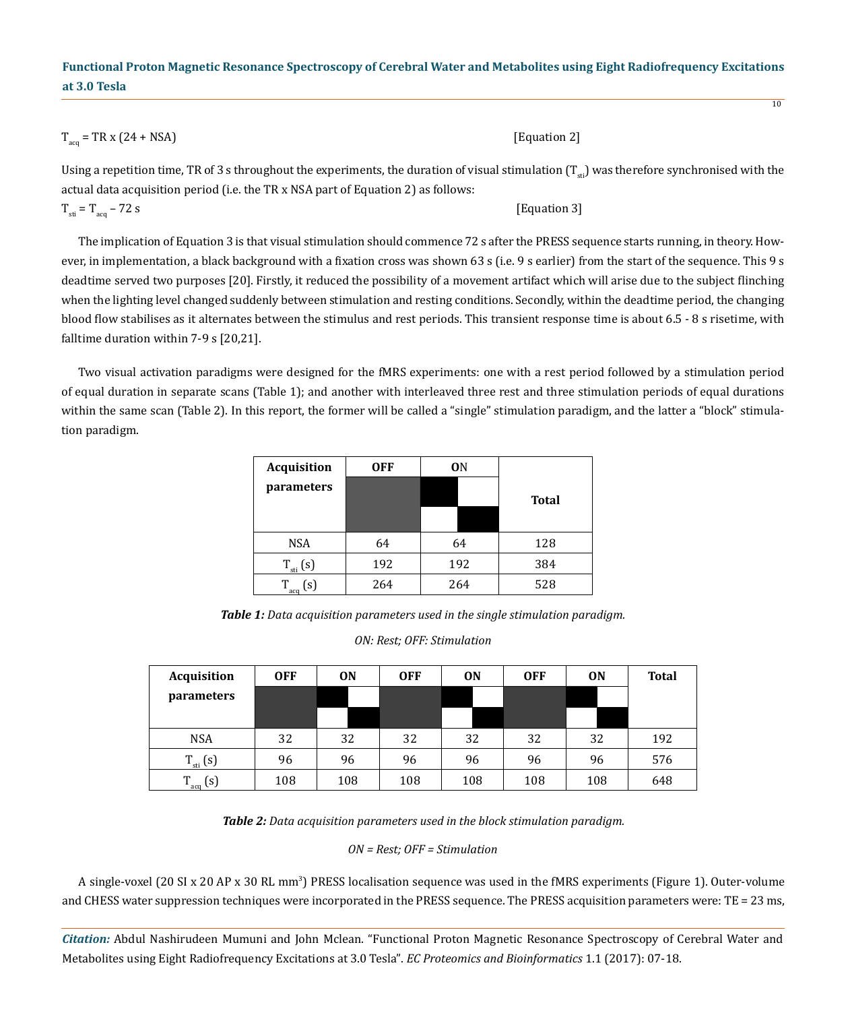#### $T_{\text{max}} = \text{TR x } (24 + \text{NSA})$  [Equation 2]

Using a repetition time, TR of 3 s throughout the experiments, the duration of visual stimulation  $(T_{st})$  was therefore synchronised with the actual data acquisition period (i.e. the TR x NSA part of Equation 2) as follows:

$$
T_{\rm st} = T_{\rm acq} - 72 \, \text{s} \tag{Equation 3}
$$

The implication of Equation 3 is that visual stimulation should commence 72 s after the PRESS sequence starts running, in theory. However, in implementation, a black background with a fixation cross was shown 63 s (i.e. 9 s earlier) from the start of the sequence. This 9 s deadtime served two purposes [20]. Firstly, it reduced the possibility of a movement artifact which will arise due to the subject flinching when the lighting level changed suddenly between stimulation and resting conditions. Secondly, within the deadtime period, the changing blood flow stabilises as it alternates between the stimulus and rest periods. This transient response time is about 6.5 - 8 s risetime, with falltime duration within 7-9 s [20,21].

Two visual activation paradigms were designed for the fMRS experiments: one with a rest period followed by a stimulation period of equal duration in separate scans (Table 1); and another with interleaved three rest and three stimulation periods of equal durations within the same scan (Table 2). In this report, the former will be called a "single" stimulation paradigm, and the latter a "block" stimulation paradigm.

| <b>Acquisition</b> | <b>OFF</b> | 0N  |              |
|--------------------|------------|-----|--------------|
| parameters         |            |     | <b>Total</b> |
|                    |            |     |              |
| <b>NSA</b>         | 64         | 64  | 128          |
| $T_{\rm st}$ (s)   | 192        | 192 | 384          |
| (s)<br>aco         | 264        | 264 | 528          |

*Table 1: Data acquisition parameters used in the single stimulation paradigm.*

#### *ON: Rest; OFF: Stimulation*

| Acquisition      | <b>OFF</b> | <b>ON</b> | <b>OFF</b> | <b>ON</b> | <b>OFF</b> | <b>ON</b> | <b>Total</b> |
|------------------|------------|-----------|------------|-----------|------------|-----------|--------------|
| parameters       |            |           |            |           |            |           |              |
|                  |            |           |            |           |            |           |              |
| <b>NSA</b>       | 32         | 32        | 32         | 32        | 32         | 32        | 192          |
| $T_{\rm st}$ (s) | 96         | 96        | 96         | 96        | 96         | 96        | 576          |
| $T_{acq}$ (s)    | 108        | 108       | 108        | 108       | 108        | 108       | 648          |

*Table 2: Data acquisition parameters used in the block stimulation paradigm.*

*ON = Rest; OFF = Stimulation*

A single-voxel (20 SI x 20 AP x 30 RL mm<sup>3</sup>) PRESS localisation sequence was used in the fMRS experiments (Figure 1). Outer-volume and CHESS water suppression techniques were incorporated in the PRESS sequence. The PRESS acquisition parameters were: TE = 23 ms,

*Citation:* Abdul Nashirudeen Mumuni and John Mclean. "Functional Proton Magnetic Resonance Spectroscopy of Cerebral Water and Metabolites using Eight Radiofrequency Excitations at 3.0 Tesla". *EC Proteomics and Bioinformatics* 1.1 (2017): 07-18.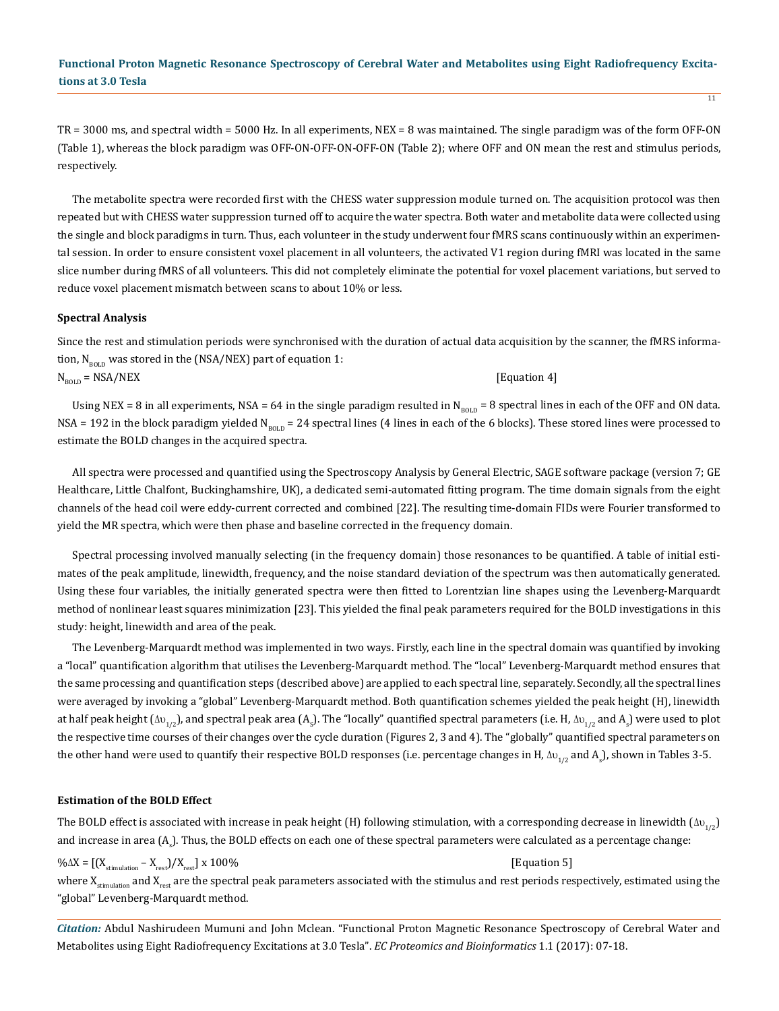TR = 3000 ms, and spectral width = 5000 Hz. In all experiments, NEX = 8 was maintained. The single paradigm was of the form OFF-ON (Table 1), whereas the block paradigm was OFF-ON-OFF-ON-OFF-ON (Table 2); where OFF and ON mean the rest and stimulus periods, respectively.

The metabolite spectra were recorded first with the CHESS water suppression module turned on. The acquisition protocol was then repeated but with CHESS water suppression turned off to acquire the water spectra. Both water and metabolite data were collected using the single and block paradigms in turn. Thus, each volunteer in the study underwent four fMRS scans continuously within an experimental session. In order to ensure consistent voxel placement in all volunteers, the activated V1 region during fMRI was located in the same slice number during fMRS of all volunteers. This did not completely eliminate the potential for voxel placement variations, but served to reduce voxel placement mismatch between scans to about 10% or less.

#### **Spectral Analysis**

Since the rest and stimulation periods were synchronised with the duration of actual data acquisition by the scanner, the fMRS information,  $N_{BOLD}$  was stored in the (NSA/NEX) part of equation 1:

 $N_{\text{ROID}} = \text{NSA/NEX}$  [Equation 4]

Using NEX = 8 in all experiments, NSA = 64 in the single paradigm resulted in N<sub>BOLD</sub> = 8 spectral lines in each of the OFF and ON data. NSA = 192 in the block paradigm yielded N<sub>BOLD</sub> = 24 spectral lines (4 lines in each of the 6 blocks). These stored lines were processed to estimate the BOLD changes in the acquired spectra.

All spectra were processed and quantified using the Spectroscopy Analysis by General Electric, SAGE software package (version 7; GE Healthcare, Little Chalfont, Buckinghamshire, UK), a dedicated semi-automated fitting program. The time domain signals from the eight channels of the head coil were eddy-current corrected and combined [22]. The resulting time-domain FIDs were Fourier transformed to yield the MR spectra, which were then phase and baseline corrected in the frequency domain.

Spectral processing involved manually selecting (in the frequency domain) those resonances to be quantified. A table of initial estimates of the peak amplitude, linewidth, frequency, and the noise standard deviation of the spectrum was then automatically generated. Using these four variables, the initially generated spectra were then fitted to Lorentzian line shapes using the Levenberg-Marquardt method of nonlinear least squares minimization [23]. This yielded the final peak parameters required for the BOLD investigations in this study: height, linewidth and area of the peak.

The Levenberg-Marquardt method was implemented in two ways. Firstly, each line in the spectral domain was quantified by invoking a "local" quantification algorithm that utilises the Levenberg-Marquardt method. The "local" Levenberg-Marquardt method ensures that the same processing and quantification steps (described above) are applied to each spectral line, separately. Secondly, all the spectral lines were averaged by invoking a "global" Levenberg-Marquardt method. Both quantification schemes yielded the peak height (H), linewidth at half peak height ( $\Delta v_{1/2}$ ), and spectral peak area (A<sub>s</sub>). The "locally" quantified spectral parameters (i.e. H,  $\Delta v_{1/2}$  and A<sub>s</sub>) were used to plot the respective time courses of their changes over the cycle duration (Figures 2, 3 and 4). The "globally" quantified spectral parameters on the other hand were used to quantify their respective BOLD responses (i.e. percentage changes in H,  $\Delta v_{1/2}$  and A<sub>s</sub>), shown in Tables 3-5.

#### **Estimation of the BOLD Effect**

The BOLD effect is associated with increase in peak height (H) following stimulation, with a corresponding decrease in linewidth ( $\Delta v_{1/2}$ ) and increase in area (A<sub>s</sub>). Thus, the BOLD effects on each one of these spectral parameters were calculated as a percentage change:

## $\% \Delta X = \left[ \left( X_{\text{stimulation}} - X_{\text{res}} \right) / X_{\text{res}} \right] x \, 100\%$  [Equation 5] where  $X_{\text{stimulation}}$  and  $X_{\text{rest}}$  are the spectral peak parameters associated with the stimulus and rest periods respectively, estimated using the "global" Levenberg-Marquardt method.

*Citation:* Abdul Nashirudeen Mumuni and John Mclean. "Functional Proton Magnetic Resonance Spectroscopy of Cerebral Water and Metabolites using Eight Radiofrequency Excitations at 3.0 Tesla". *EC Proteomics and Bioinformatics* 1.1 (2017): 07-18.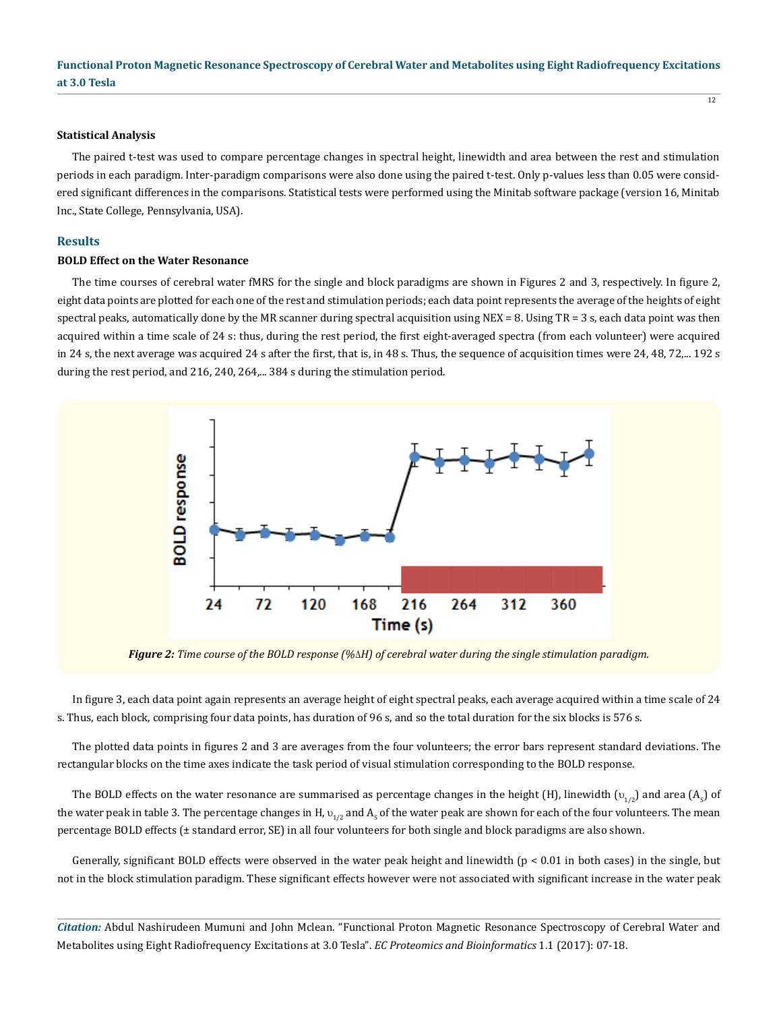#### **Statistical Analysis**

The paired t-test was used to compare percentage changes in spectral height, linewidth and area between the rest and stimulation periods in each paradigm. Inter-paradigm comparisons were also done using the paired t-test. Only p-values less than 0.05 were considered significant differences in the comparisons. Statistical tests were performed using the Minitab software package (version 16, Minitab Inc., State College, Pennsylvania, USA).

#### **Results**

#### **BOLD Effect on the Water Resonance**

The time courses of cerebral water fMRS for the single and block paradigms are shown in Figures 2 and 3, respectively. In figure 2, eight data points are plotted for each one of the rest and stimulation periods; each data point represents the average of the heights of eight spectral peaks, automatically done by the MR scanner during spectral acquisition using NEX = 8. Using TR = 3 s, each data point was then acquired within a time scale of 24 s: thus, during the rest period, the first eight-averaged spectra (from each volunteer) were acquired in 24 s, the next average was acquired 24 s after the first, that is, in 48 s. Thus, the sequence of acquisition times were 24, 48, 72,... 192 s during the rest period, and 216, 240, 264,... 384 s during the stimulation period.



*Figure 2: Time course of the BOLD response (%H) of cerebral water during the single stimulation paradigm.*

In figure 3, each data point again represents an average height of eight spectral peaks, each average acquired within a time scale of 24 s. Thus, each block, comprising four data points, has duration of 96 s, and so the total duration for the six blocks is 576 s.

The plotted data points in figures 2 and 3 are averages from the four volunteers; the error bars represent standard deviations. The rectangular blocks on the time axes indicate the task period of visual stimulation corresponding to the BOLD response.

The BOLD effects on the water resonance are summarised as percentage changes in the height (H), linewidth ( $v_{1/2}$ ) and area (A<sub>S</sub>) of the water peak in table 3. The percentage changes in H,  $v_{1/2}$  and  $A_s$  of the water peak are shown for each of the four volunteers. The mean percentage BOLD effects (± standard error, SE) in all four volunteers for both single and block paradigms are also shown.

Generally, significant BOLD effects were observed in the water peak height and linewidth  $(p < 0.01$  in both cases) in the single, but not in the block stimulation paradigm. These significant effects however were not associated with significant increase in the water peak

*Citation:* Abdul Nashirudeen Mumuni and John Mclean. "Functional Proton Magnetic Resonance Spectroscopy of Cerebral Water and Metabolites using Eight Radiofrequency Excitations at 3.0 Tesla". *EC Proteomics and Bioinformatics* 1.1 (2017): 07-18.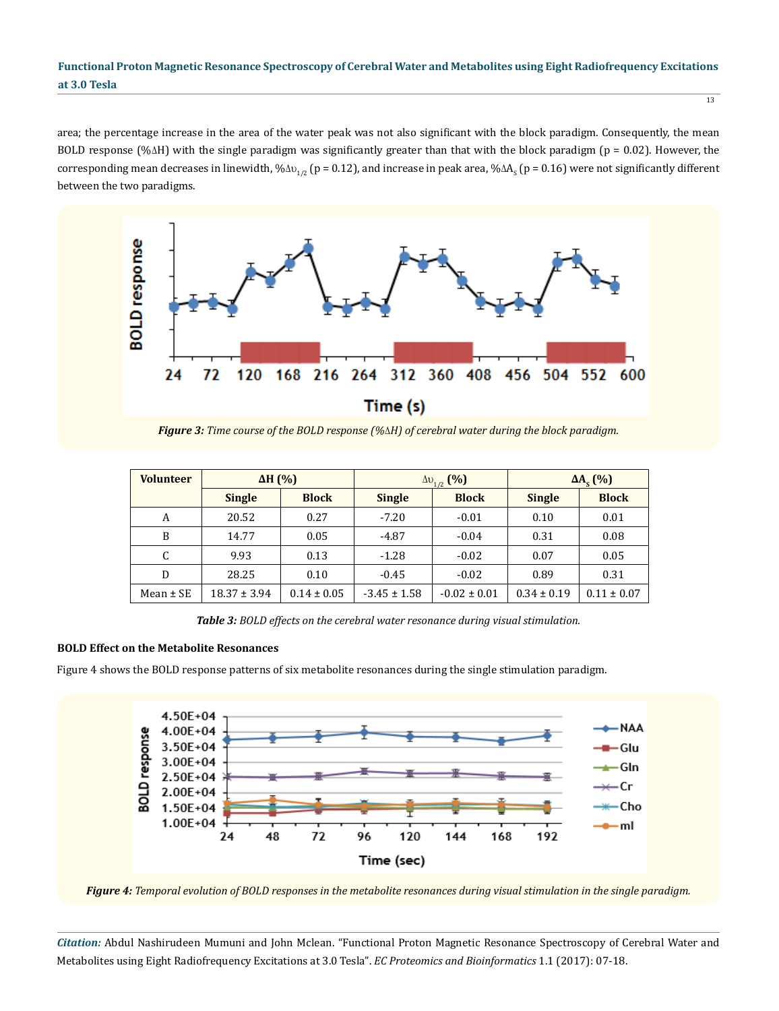area; the percentage increase in the area of the water peak was not also significant with the block paradigm. Consequently, the mean BOLD response (% $\Delta H$ ) with the single paradigm was significantly greater than that with the block paradigm ( $p = 0.02$ ). However, the corresponding mean decreases in linewidth, % $\Delta\omega_{1/2}$  (p = 0.12), and increase in peak area, % $\Delta A_{_{\rm S}}$  (p = 0.16) were not significantly different between the two paradigms.



*Figure 3: Time course of the BOLD response (%H) of cerebral water during the block paradigm.*

| <b>Volunteer</b> | $\Delta H$ (%)   |                 |                  | $\Delta v_{1/2}$ (%) | $\Delta A_{\rm c}$ (%) |                 |
|------------------|------------------|-----------------|------------------|----------------------|------------------------|-----------------|
|                  | <b>Single</b>    | <b>Block</b>    | <b>Single</b>    | <b>Block</b>         | <b>Single</b>          | <b>Block</b>    |
| A                | 20.52            | 0.27            | $-7.20$          | $-0.01$              | 0.10                   | 0.01            |
| B                | 14.77            | 0.05            | $-4.87$          | $-0.04$              | 0.31                   | 0.08            |
| C                | 9.93             | 0.13            | $-1.28$          | $-0.02$              | 0.07                   | 0.05            |
| D                | 28.25            | 0.10            | $-0.45$          | $-0.02$              | 0.89                   | 0.31            |
| Mean $\pm$ SE    | $18.37 \pm 3.94$ | $0.14 \pm 0.05$ | $-3.45 \pm 1.58$ | $-0.02 \pm 0.01$     | $0.34 \pm 0.19$        | $0.11 \pm 0.07$ |

*Table 3: BOLD effects on the cerebral water resonance during visual stimulation.*

### **BOLD Effect on the Metabolite Resonances**

Figure 4 shows the BOLD response patterns of six metabolite resonances during the single stimulation paradigm.



*Figure 4: Temporal evolution of BOLD responses in the metabolite resonances during visual stimulation in the single paradigm.*

*Citation:* Abdul Nashirudeen Mumuni and John Mclean. "Functional Proton Magnetic Resonance Spectroscopy of Cerebral Water and Metabolites using Eight Radiofrequency Excitations at 3.0 Tesla". *EC Proteomics and Bioinformatics* 1.1 (2017): 07-18.

 $\frac{1}{13}$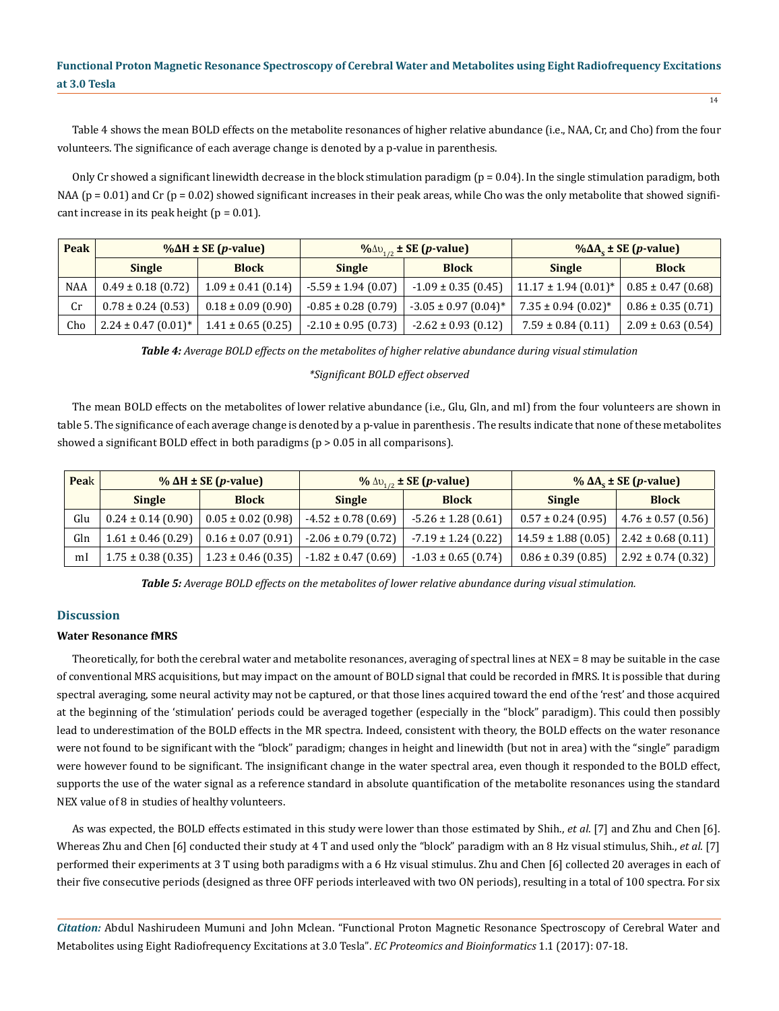Table 4 shows the mean BOLD effects on the metabolite resonances of higher relative abundance (i.e., NAA, Cr, and Cho) from the four volunteers. The significance of each average change is denoted by a p-value in parenthesis.

Only Cr showed a significant linewidth decrease in the block stimulation paradigm (p = 0.04). In the single stimulation paradigm, both NAA ( $p = 0.01$ ) and Cr ( $p = 0.02$ ) showed significant increases in their peak areas, while Cho was the only metabolite that showed significant increase in its peak height ( $p = 0.01$ ).

| Peak       | $\% \Delta H \pm SE(p-value)$       |                        |                         | $\frac{9}{6}$ $\Delta v_{1/2}$ ± SE ( <i>p</i> -value) | $\% \Delta A_c \pm SE(p-value)$      |                        |  |
|------------|-------------------------------------|------------------------|-------------------------|--------------------------------------------------------|--------------------------------------|------------------------|--|
|            | <b>Single</b>                       | <b>Block</b>           | <b>Single</b>           | <b>Block</b>                                           | <b>Single</b>                        | <b>Block</b>           |  |
| <b>NAA</b> | $0.49 \pm 0.18$ (0.72)              | $1.09 \pm 0.41$ (0.14) | $-5.59 \pm 1.94$ (0.07) | $-1.09 \pm 0.35$ (0.45)                                | $11.17 \pm 1.94$ (0.01) <sup>*</sup> | $0.85 \pm 0.47$ (0.68) |  |
| Cr         | $0.78 \pm 0.24$ (0.53)              | $0.18 \pm 0.09$ (0.90) | $-0.85 \pm 0.28$ (0.79) | $-3.05 \pm 0.97$ (0.04) <sup>*</sup>                   | $7.35 \pm 0.94$ (0.02) <sup>*</sup>  | $0.86 \pm 0.35$ (0.71) |  |
| Cho        | $2.24 \pm 0.47$ (0.01) <sup>*</sup> | $1.41 \pm 0.65$ (0.25) | $-2.10 \pm 0.95$ (0.73) | $-2.62 \pm 0.93$ (0.12)                                | $7.59 \pm 0.84$ (0.11)               | $2.09 \pm 0.63$ (0.54) |  |

*Table 4: Average BOLD effects on the metabolites of higher relative abundance during visual stimulation* 

#### *\*Significant BOLD effect observed*

The mean BOLD effects on the metabolites of lower relative abundance (i.e., Glu, Gln, and mI) from the four volunteers are shown in table 5. The significance of each average change is denoted by a p-value in parenthesis . The results indicate that none of these metabolites showed a significant BOLD effect in both paradigms (p > 0.05 in all comparisons).

| Peak | $\%$ $\Delta H \pm SE$ ( <i>p</i> -value) |                        |                         | $\frac{9}{6}$ $\Delta v_{1/2}$ ± SE ( <i>p</i> -value) | % $\Delta A_c \pm SE(p-value)$ |                        |  |
|------|-------------------------------------------|------------------------|-------------------------|--------------------------------------------------------|--------------------------------|------------------------|--|
|      | <b>Single</b>                             | <b>Block</b>           | <b>Single</b>           | <b>Block</b>                                           | <b>Single</b>                  | <b>Block</b>           |  |
| Glu  | $0.24 \pm 0.14$ (0.90)                    | $0.05 \pm 0.02$ (0.98) | $-4.52 \pm 0.78$ (0.69) | $-5.26 \pm 1.28$ (0.61)                                | $0.57 \pm 0.24$ (0.95)         | $4.76 \pm 0.57$ (0.56) |  |
| Gln  | $1.61 \pm 0.46$ (0.29)                    | $0.16 \pm 0.07$ (0.91) | $-2.06 \pm 0.79$ (0.72) | $-7.19 \pm 1.24$ (0.22)                                | $14.59 \pm 1.88$ (0.05)        | $2.42 \pm 0.68$ (0.11) |  |
| mI   | $1.75 \pm 0.38$ (0.35)                    | $1.23 \pm 0.46$ (0.35) | $-1.82 \pm 0.47$ (0.69) | $-1.03 \pm 0.65$ (0.74)                                | $0.86 \pm 0.39$ (0.85)         | $2.92 \pm 0.74(0.32)$  |  |

*Table 5: Average BOLD effects on the metabolites of lower relative abundance during visual stimulation.*

## **Discussion**

#### **Water Resonance fMRS**

Theoretically, for both the cerebral water and metabolite resonances, averaging of spectral lines at NEX = 8 may be suitable in the case of conventional MRS acquisitions, but may impact on the amount of BOLD signal that could be recorded in fMRS. It is possible that during spectral averaging, some neural activity may not be captured, or that those lines acquired toward the end of the 'rest' and those acquired at the beginning of the 'stimulation' periods could be averaged together (especially in the "block" paradigm). This could then possibly lead to underestimation of the BOLD effects in the MR spectra. Indeed, consistent with theory, the BOLD effects on the water resonance were not found to be significant with the "block" paradigm; changes in height and linewidth (but not in area) with the "single" paradigm were however found to be significant. The insignificant change in the water spectral area, even though it responded to the BOLD effect, supports the use of the water signal as a reference standard in absolute quantification of the metabolite resonances using the standard NEX value of 8 in studies of healthy volunteers.

As was expected, the BOLD effects estimated in this study were lower than those estimated by Shih., *et al*. [7] and Zhu and Chen [6]. Whereas Zhu and Chen [6] conducted their study at 4 T and used only the "block" paradigm with an 8 Hz visual stimulus, Shih., *et al*. [7] performed their experiments at 3 T using both paradigms with a 6 Hz visual stimulus. Zhu and Chen [6] collected 20 averages in each of their five consecutive periods (designed as three OFF periods interleaved with two ON periods), resulting in a total of 100 spectra. For six

*Citation:* Abdul Nashirudeen Mumuni and John Mclean. "Functional Proton Magnetic Resonance Spectroscopy of Cerebral Water and Metabolites using Eight Radiofrequency Excitations at 3.0 Tesla". *EC Proteomics and Bioinformatics* 1.1 (2017): 07-18.

 $\overline{14}$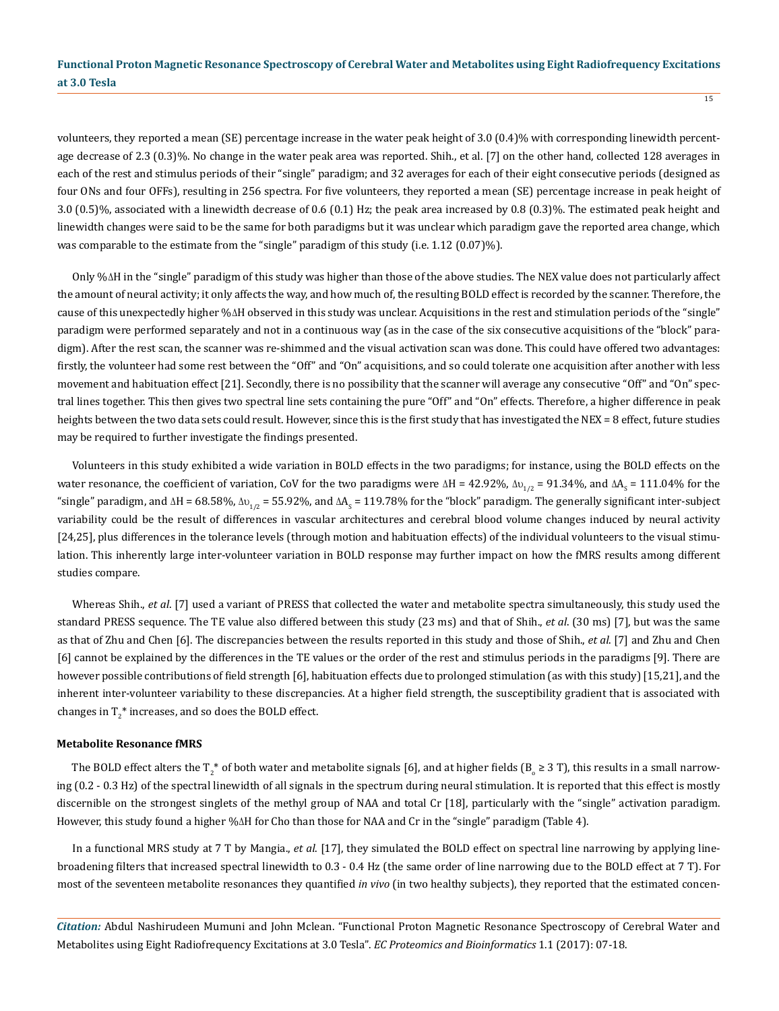volunteers, they reported a mean (SE) percentage increase in the water peak height of 3.0 (0.4)% with corresponding linewidth percentage decrease of 2.3 (0.3)%. No change in the water peak area was reported. Shih., et al. [7] on the other hand, collected 128 averages in each of the rest and stimulus periods of their "single" paradigm; and 32 averages for each of their eight consecutive periods (designed as four ONs and four OFFs), resulting in 256 spectra. For five volunteers, they reported a mean (SE) percentage increase in peak height of 3.0 (0.5)%, associated with a linewidth decrease of 0.6 (0.1) Hz; the peak area increased by 0.8 (0.3)%. The estimated peak height and linewidth changes were said to be the same for both paradigms but it was unclear which paradigm gave the reported area change, which was comparable to the estimate from the "single" paradigm of this study (i.e. 1.12 (0.07)%).

Only %H in the "single" paradigm of this study was higher than those of the above studies. The NEX value does not particularly affect the amount of neural activity; it only affects the way, and how much of, the resulting BOLD effect is recorded by the scanner. Therefore, the cause of this unexpectedly higher % $\Delta H$  observed in this study was unclear. Acquisitions in the rest and stimulation periods of the "single" paradigm were performed separately and not in a continuous way (as in the case of the six consecutive acquisitions of the "block" paradigm). After the rest scan, the scanner was re-shimmed and the visual activation scan was done. This could have offered two advantages: firstly, the volunteer had some rest between the "Off" and "On" acquisitions, and so could tolerate one acquisition after another with less movement and habituation effect [21]. Secondly, there is no possibility that the scanner will average any consecutive "Off" and "On" spectral lines together. This then gives two spectral line sets containing the pure "Off" and "On" effects. Therefore, a higher difference in peak heights between the two data sets could result. However, since this is the first study that has investigated the NEX = 8 effect, future studies may be required to further investigate the findings presented.

Volunteers in this study exhibited a wide variation in BOLD effects in the two paradigms; for instance, using the BOLD effects on the water resonance, the coefficient of variation, CoV for the two paradigms were  $\Delta H = 42.92\%$ ,  $\Delta v_{1/2} = 91.34\%$ , and  $\Delta A_s = 111.04\%$  for the "single" paradigm, and  $\Delta H$  = 68.58%,  $\Delta v_{1/2}$  = 55.92%, and  $\Delta A_{_{\rm S}}$  = 119.78% for the "block" paradigm. The generally significant inter-subject variability could be the result of differences in vascular architectures and cerebral blood volume changes induced by neural activity [24,25], plus differences in the tolerance levels (through motion and habituation effects) of the individual volunteers to the visual stimulation. This inherently large inter-volunteer variation in BOLD response may further impact on how the fMRS results among different studies compare.

Whereas Shih., *et al*. [7] used a variant of PRESS that collected the water and metabolite spectra simultaneously, this study used the standard PRESS sequence. The TE value also differed between this study (23 ms) and that of Shih., *et al*. (30 ms) [7], but was the same as that of Zhu and Chen [6]. The discrepancies between the results reported in this study and those of Shih., *et al*. [7] and Zhu and Chen [6] cannot be explained by the differences in the TE values or the order of the rest and stimulus periods in the paradigms [9]. There are however possible contributions of field strength [6], habituation effects due to prolonged stimulation (as with this study) [15,21], and the inherent inter-volunteer variability to these discrepancies. At a higher field strength, the susceptibility gradient that is associated with changes in  $T_2^*$  increases, and so does the BOLD effect.

#### **Metabolite Resonance fMRS**

The BOLD effect alters the T<sub>2</sub>\* of both water and metabolite signals [6], and at higher fields (B<sub>0</sub> ≥ 3 T), this results in a small narrowing (0.2 - 0.3 Hz) of the spectral linewidth of all signals in the spectrum during neural stimulation. It is reported that this effect is mostly discernible on the strongest singlets of the methyl group of NAA and total Cr [18], particularly with the "single" activation paradigm. However, this study found a higher % $\Delta H$  for Cho than those for NAA and Cr in the "single" paradigm (Table 4).

In a functional MRS study at 7 T by Mangia., *et al*. [17], they simulated the BOLD effect on spectral line narrowing by applying linebroadening filters that increased spectral linewidth to 0.3 - 0.4 Hz (the same order of line narrowing due to the BOLD effect at 7 T). For most of the seventeen metabolite resonances they quantified *in vivo* (in two healthy subjects), they reported that the estimated concen-

*Citation:* Abdul Nashirudeen Mumuni and John Mclean. "Functional Proton Magnetic Resonance Spectroscopy of Cerebral Water and Metabolites using Eight Radiofrequency Excitations at 3.0 Tesla". *EC Proteomics and Bioinformatics* 1.1 (2017): 07-18.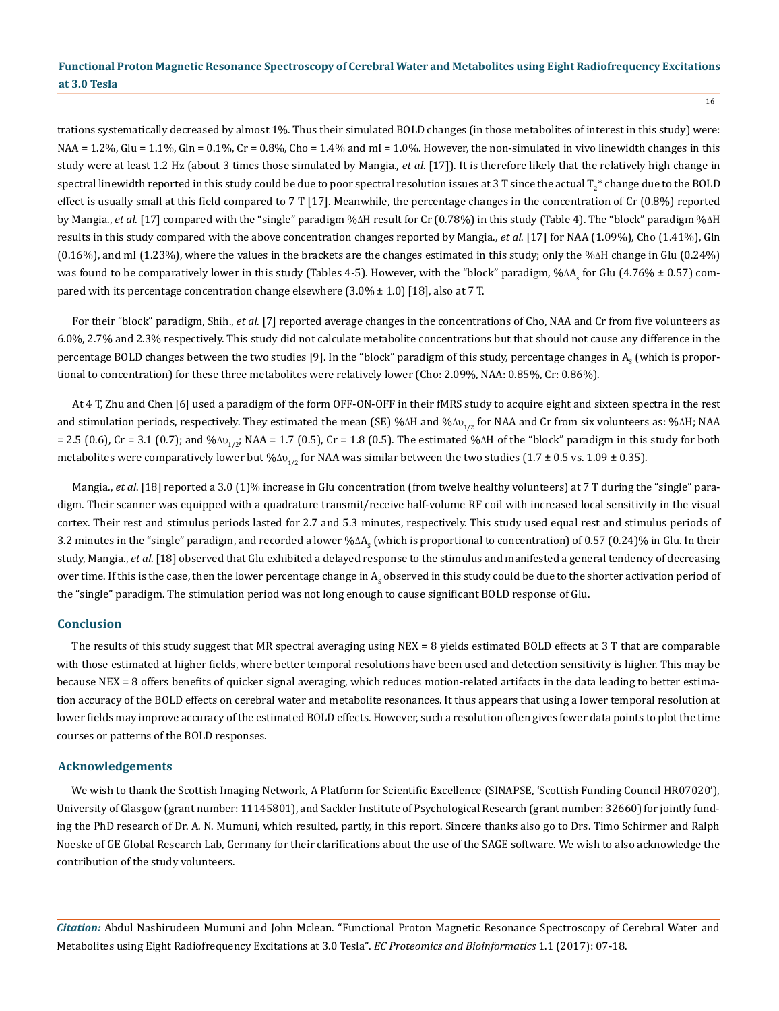trations systematically decreased by almost 1%. Thus their simulated BOLD changes (in those metabolites of interest in this study) were:  $NA = 1.2\%$ , Glu = 1.1%, Gln = 0.1%, Cr = 0.8%, Cho = 1.4% and mI = 1.0%. However, the non-simulated in vivo linewidth changes in this study were at least 1.2 Hz (about 3 times those simulated by Mangia., *et al*. [17]). It is therefore likely that the relatively high change in spectral linewidth reported in this study could be due to poor spectral resolution issues at 3 T since the actual T $_2^\ast$  change due to the BOLD effect is usually small at this field compared to 7 T [17]. Meanwhile, the percentage changes in the concentration of Cr (0.8%) reported by Mangia., et al. [17] compared with the "single" paradigm % $\Delta H$  result for Cr (0.78%) in this study (Table 4). The "block" paradigm % $\Delta H$ results in this study compared with the above concentration changes reported by Mangia., *et al*. [17] for NAA (1.09%), Cho (1.41%), Gln  $(0.16\%)$ , and mI  $(1.23\%)$ , where the values in the brackets are the changes estimated in this study; only the % $\Delta H$  change in Glu  $(0.24\%)$ was found to be comparatively lower in this study (Tables 4-5). However, with the "block" paradigm, % $\Delta A_{\rm s}$  for Glu (4.76% ± 0.57) compared with its percentage concentration change elsewhere (3.0% ± 1.0) [18], also at 7 T.

For their "block" paradigm, Shih., *et al*. [7] reported average changes in the concentrations of Cho, NAA and Cr from five volunteers as 6.0%, 2.7% and 2.3% respectively. This study did not calculate metabolite concentrations but that should not cause any difference in the percentage BOLD changes between the two studies [9]. In the "block" paradigm of this study, percentage changes in A<sub>s</sub> (which is proportional to concentration) for these three metabolites were relatively lower (Cho: 2.09%, NAA: 0.85%, Cr: 0.86%).

At 4 T, Zhu and Chen [6] used a paradigm of the form OFF-ON-OFF in their fMRS study to acquire eight and sixteen spectra in the rest and stimulation periods, respectively. They estimated the mean (SE) % $\Delta H$  and % $\Delta v_{1/2}$  for NAA and Cr from six volunteers as: % $\Delta H$ ; NAA = 2.5 (0.6), Cr = 3.1 (0.7); and % $\Delta v_{1/2}$ ; NAA = 1.7 (0.5), Cr = 1.8 (0.5). The estimated % $\Delta H$  of the "block" paradigm in this study for both metabolites were comparatively lower but % $\Delta v_{1/2}$  for NAA was similar between the two studies (1.7 ± 0.5 vs. 1.09 ± 0.35).

Mangia., *et al.* [18] reported a 3.0 (1)% increase in Glu concentration (from twelve healthy volunteers) at 7 T during the "single" paradigm. Their scanner was equipped with a quadrature transmit/receive half-volume RF coil with increased local sensitivity in the visual cortex. Their rest and stimulus periods lasted for 2.7 and 5.3 minutes, respectively. This study used equal rest and stimulus periods of 3.2 minutes in the "single" paradigm, and recorded a lower % $\Delta A_{_{\rm S}}$  (which is proportional to concentration) of 0.57 (0.24)% in Glu. In their study, Mangia., *et al*. [18] observed that Glu exhibited a delayed response to the stimulus and manifested a general tendency of decreasing over time. If this is the case, then the lower percentage change in  ${\sf A_s}$  observed in this study could be due to the shorter activation period of the "single" paradigm. The stimulation period was not long enough to cause significant BOLD response of Glu.

#### **Conclusion**

The results of this study suggest that MR spectral averaging using NEX = 8 yields estimated BOLD effects at 3 T that are comparable with those estimated at higher fields, where better temporal resolutions have been used and detection sensitivity is higher. This may be because NEX = 8 offers benefits of quicker signal averaging, which reduces motion-related artifacts in the data leading to better estimation accuracy of the BOLD effects on cerebral water and metabolite resonances. It thus appears that using a lower temporal resolution at lower fields may improve accuracy of the estimated BOLD effects. However, such a resolution often gives fewer data points to plot the time courses or patterns of the BOLD responses.

#### **Acknowledgements**

We wish to thank the Scottish Imaging Network, A Platform for Scientific Excellence (SINAPSE, 'Scottish Funding Council HR07020'), University of Glasgow (grant number: 11145801), and Sackler Institute of Psychological Research (grant number: 32660) for jointly funding the PhD research of Dr. A. N. Mumuni, which resulted, partly, in this report. Sincere thanks also go to Drs. Timo Schirmer and Ralph Noeske of GE Global Research Lab, Germany for their clarifications about the use of the SAGE software. We wish to also acknowledge the contribution of the study volunteers.

*Citation:* Abdul Nashirudeen Mumuni and John Mclean. "Functional Proton Magnetic Resonance Spectroscopy of Cerebral Water and Metabolites using Eight Radiofrequency Excitations at 3.0 Tesla". *EC Proteomics and Bioinformatics* 1.1 (2017): 07-18.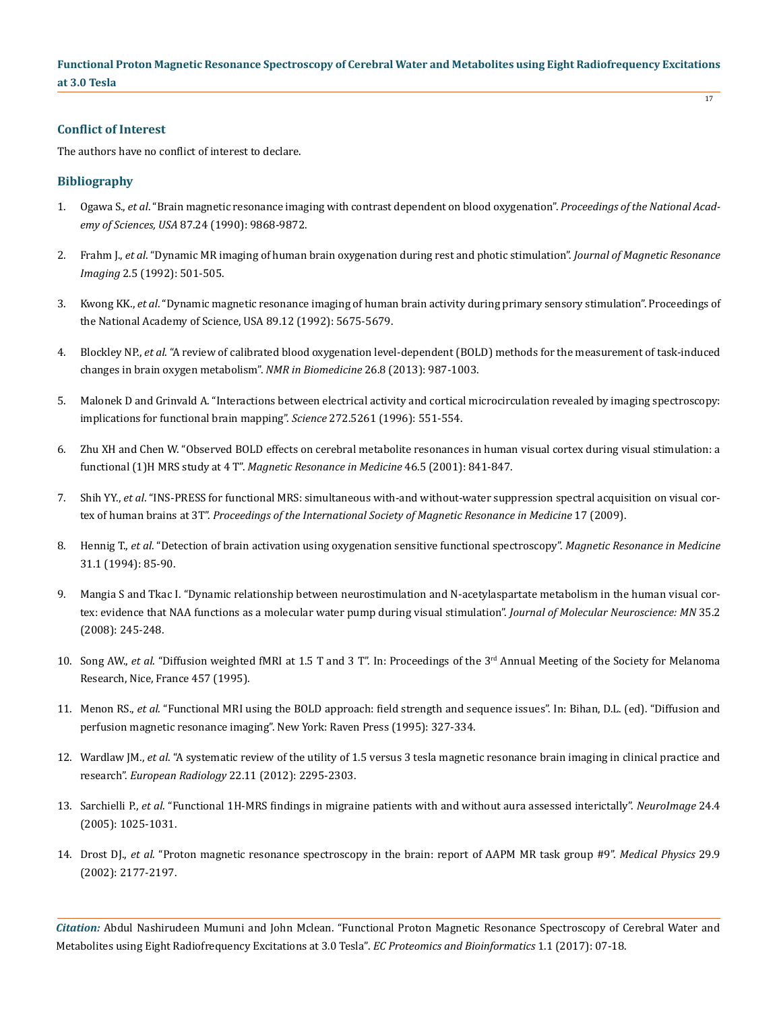## **Conflict of Interest**

The authors have no conflict of interest to declare.

## **Bibliography**

- 1. Ogawa S., *et al*[. "Brain magnetic resonance imaging with contrast dependent on blood oxygenation".](https://www.ncbi.nlm.nih.gov/pmc/articles/PMC55275/) *Proceedings of the National Academy of Sciences, USA* [87.24 \(1990\): 9868-9872.](https://www.ncbi.nlm.nih.gov/pmc/articles/PMC55275/)
- 2. Frahm J., *et al*[. "Dynamic MR imaging of human brain oxygenation during rest and photic stimulation".](https://www.ncbi.nlm.nih.gov/pubmed/1392241) *Journal of Magnetic Resonance Imaging* [2.5 \(1992\): 501-505.](https://www.ncbi.nlm.nih.gov/pubmed/1392241)
- 3. Kwong KK., *et al*[. "Dynamic magnetic resonance imaging of human brain activity during primary sensory stimulation". Proceedings of](https://www.ncbi.nlm.nih.gov/pubmed/1608978) [the National Academy of Science, USA 89.12 \(1992\): 5675-5679.](https://www.ncbi.nlm.nih.gov/pubmed/1608978)
- 4. Blockley NP., *et al*[. "A review of calibrated blood oxygenation level-dependent \(BOLD\) methods for the measurement of task-induced](https://www.ncbi.nlm.nih.gov/pubmed/22945365) [changes in brain oxygen metabolism".](https://www.ncbi.nlm.nih.gov/pubmed/22945365) *NMR in Biomedicine* 26.8 (2013): 987-1003.
- 5. [Malonek D and Grinvald A. "Interactions between electrical activity and cortical microcirculation revealed by imaging spectroscopy:](https://www.ncbi.nlm.nih.gov/pubmed/8614805) [implications for functional brain mapping".](https://www.ncbi.nlm.nih.gov/pubmed/8614805) *Science* 272.5261 (1996): 551-554.
- 6. [Zhu XH and Chen W. "Observed BOLD effects on cerebral metabolite resonances in human visual cortex during visual stimulation: a](https://www.ncbi.nlm.nih.gov/pubmed/11675633) functional (1)H MRS study at 4 T". *[Magnetic Resonance in Medicine](https://www.ncbi.nlm.nih.gov/pubmed/11675633)* 46.5 (2001): 841-847.
- 7. Shih YY., *et al*[. "INS-PRESS for functional MRS: simultaneous with-and without-water suppression spectral acquisition on visual cor](http://citeseerx.ist.psu.edu/viewdoc/download?doi=10.1.1.585.3433&rep=rep1&type=pdf)tex of human brains at 3T". *[Proceedings of the International Society of Magnetic Resonance in Medicine](http://citeseerx.ist.psu.edu/viewdoc/download?doi=10.1.1.585.3433&rep=rep1&type=pdf)* 17 (2009).
- 8. Hennig T., *et al*[. "Detection of brain activation using oxygenation sensitive functional spectroscopy".](https://www.ncbi.nlm.nih.gov/pubmed/8121276) *Magnetic Resonance in Medicine*  [31.1 \(1994\): 85-90.](https://www.ncbi.nlm.nih.gov/pubmed/8121276)
- 9. [Mangia S and Tkac I. "Dynamic relationship between neurostimulation and N-acetylaspartate metabolism in the human visual cor](https://www.ncbi.nlm.nih.gov/pubmed/18231877)[tex: evidence that NAA functions as a molecular water pump during visual stimulation".](https://www.ncbi.nlm.nih.gov/pubmed/18231877) *Journal of Molecular Neuroscience: MN* 35.2 [\(2008\): 245-248.](https://www.ncbi.nlm.nih.gov/pubmed/18231877)
- 10. Song AW., *et al.* "Diffusion weighted fMRI at 1.5 T and 3 T". In: Proceedings of the 3<sup>rd</sup> Annual Meeting of the Society for Melanoma Research, Nice, France 457 (1995).
- 11. Menon RS., *et al*. "Functional MRI using the BOLD approach: field strength and sequence issues". In: Bihan, D.L. (ed). "Diffusion and perfusion magnetic resonance imaging". New York: Raven Press (1995): 327-334.
- 12. Wardlaw JM., *et al*[. "A systematic review of the utility of 1.5 versus 3 tesla magnetic resonance brain imaging in clinical practice and](https://www.ncbi.nlm.nih.gov/pubmed/22684343) research". *European Radiology* [22.11 \(2012\): 2295-2303.](https://www.ncbi.nlm.nih.gov/pubmed/22684343)
- 13. Sarchielli P., *et al*[. "Functional 1H-MRS findings in migraine patients with and without aura assessed interictally".](https://www.ncbi.nlm.nih.gov/pubmed/15670679) *NeuroImage* 24.4 [\(2005\): 1025-1031.](https://www.ncbi.nlm.nih.gov/pubmed/15670679)
- 14. Drost DJ., *et al*[. "Proton magnetic resonance spectroscopy in the brain: report of AAPM MR task group #9".](https://www.ncbi.nlm.nih.gov/pubmed/12349940) *Medical Physics* 29.9 [\(2002\): 2177-2197.](https://www.ncbi.nlm.nih.gov/pubmed/12349940)

*Citation:* Abdul Nashirudeen Mumuni and John Mclean. "Functional Proton Magnetic Resonance Spectroscopy of Cerebral Water and Metabolites using Eight Radiofrequency Excitations at 3.0 Tesla". *EC Proteomics and Bioinformatics* 1.1 (2017): 07-18.

 $\overline{17}$